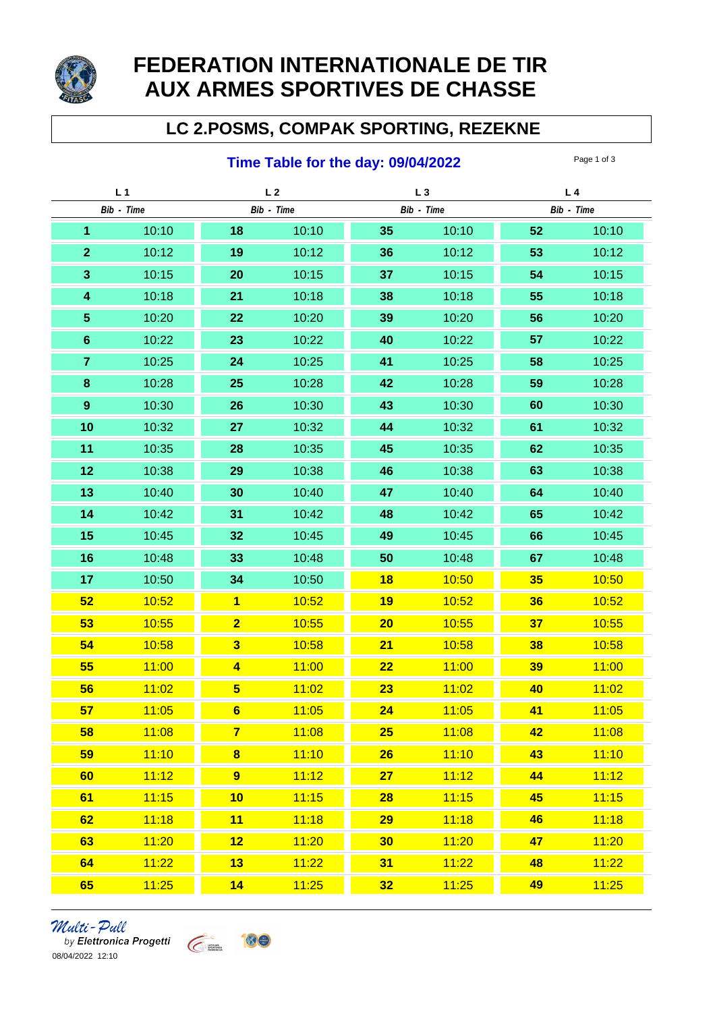

## **FEDERATION INTERNATIONALE DE TIR AUX ARMES SPORTIVES DE CHASSE**

## **LC 2.POSMS, COMPAK SPORTING, REZEKNE**

## **Time Table for the day: 09/04/2022** Page 1 of 3

| L <sub>1</sub>   |       | L <sub>2</sub>          |       | $L_3$      |       | L <sub>4</sub> |       |
|------------------|-------|-------------------------|-------|------------|-------|----------------|-------|
| Bib - Time       |       | Bib - Time              |       | Bib - Time |       | Bib - Time     |       |
| 1                | 10:10 | 18                      | 10:10 | 35         | 10:10 | 52             | 10:10 |
| $\overline{2}$   | 10:12 | 19                      | 10:12 | 36         | 10:12 | 53             | 10:12 |
| $\mathbf{3}$     | 10:15 | 20                      | 10:15 | 37         | 10:15 | 54             | 10:15 |
| 4                | 10:18 | 21                      | 10:18 | 38         | 10:18 | 55             | 10:18 |
| $\overline{5}$   | 10:20 | 22                      | 10:20 | 39         | 10:20 | 56             | 10:20 |
| $6\phantom{a}$   | 10:22 | 23                      | 10:22 | 40         | 10:22 | 57             | 10:22 |
| $\overline{7}$   | 10:25 | 24                      | 10:25 | 41         | 10:25 | 58             | 10:25 |
| $\bf{8}$         | 10:28 | 25                      | 10:28 | 42         | 10:28 | 59             | 10:28 |
| $\boldsymbol{9}$ | 10:30 | 26                      | 10:30 | 43         | 10:30 | 60             | 10:30 |
| 10               | 10:32 | 27                      | 10:32 | 44         | 10:32 | 61             | 10:32 |
| 11               | 10:35 | 28                      | 10:35 | 45         | 10:35 | 62             | 10:35 |
| 12               | 10:38 | 29                      | 10:38 | 46         | 10:38 | 63             | 10:38 |
| 13               | 10:40 | 30                      | 10:40 | 47         | 10:40 | 64             | 10:40 |
| 14               | 10:42 | 31                      | 10:42 | 48         | 10:42 | 65             | 10:42 |
| 15               | 10:45 | 32                      | 10:45 | 49         | 10:45 | 66             | 10:45 |
| 16               | 10:48 | 33                      | 10:48 | 50         | 10:48 | 67             | 10:48 |
| 17               | 10:50 | 34                      | 10:50 | 18         | 10:50 | 35             | 10:50 |
| 52               | 10:52 | $\overline{1}$          | 10:52 | 19         | 10:52 | 36             | 10:52 |
| 53               | 10:55 | $\overline{2}$          | 10:55 | 20         | 10:55 | 37             | 10:55 |
| 54               | 10:58 | $\overline{\mathbf{3}}$ | 10:58 | 21         | 10:58 | 38             | 10:58 |
| 55               | 11:00 | $\overline{\mathbf{4}}$ | 11:00 | 22         | 11:00 | 39             | 11:00 |
| 56               | 11:02 | $5\overline{)}$         | 11:02 | 23         | 11:02 | 40             | 11:02 |
| 57               | 11:05 | $6\phantom{a}$          | 11:05 | 24         | 11:05 | 41             | 11:05 |
| 58               | 11:08 | $\overline{7}$          | 11:08 | 25         | 11:08 | 42             | 11:08 |
| 59               | 11:10 | $\overline{\mathbf{8}}$ | 11:10 | 26         | 11:10 | 43             | 11:10 |
| 60               | 11:12 | 9                       | 11:12 | 27         | 11:12 | 44             | 11:12 |
| 61               | 11:15 | 10                      | 11:15 | 28         | 11:15 | 45             | 11:15 |
| 62               | 11:18 | 11                      | 11:18 | 29         | 11:18 | 46             | 11:18 |
| 63               | 11:20 | 12                      | 11:20 | 30         | 11:20 | 47             | 11:20 |
| 64               | 11:22 | 13                      | 11:22 | 31         | 11:22 | 48             | 11:22 |
| 65               | 11:25 | 14                      | 11:25 | 32         | 11:25 | 49             | 11:25 |
|                  |       |                         |       |            |       |                |       |

Multi-Pull by Elettronica Progetti 08/04/2022 12:10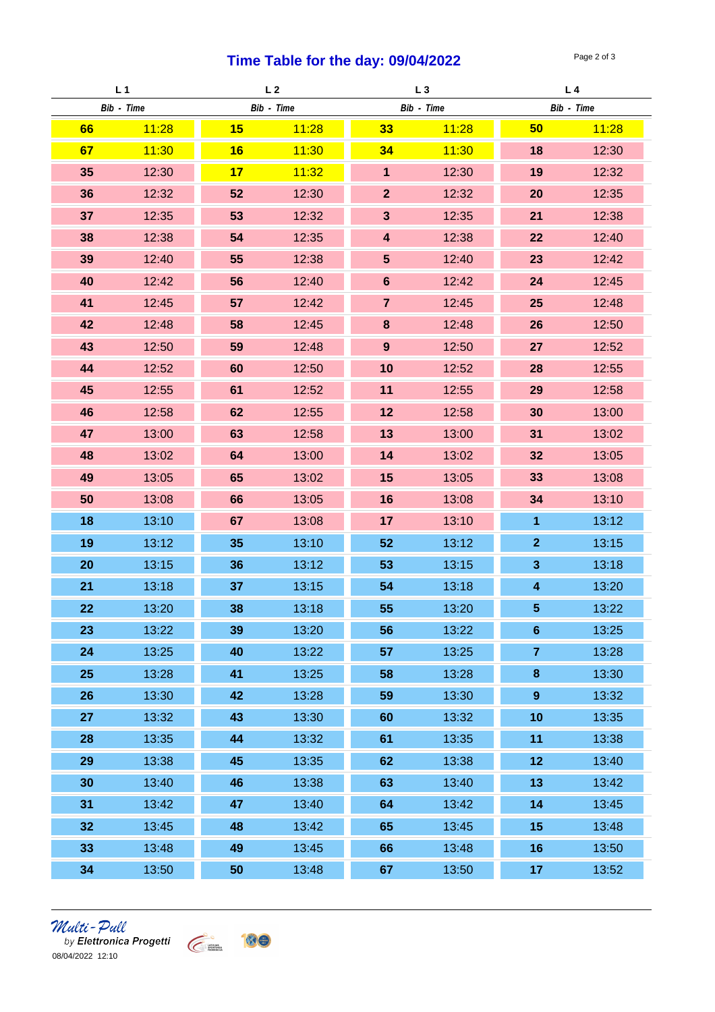## **Time Table for the day: 09/04/2022** Page 2 of 3

| L <sub>1</sub> |       | L <sub>2</sub> |       | $L_3$                   |       | L4               |       |
|----------------|-------|----------------|-------|-------------------------|-------|------------------|-------|
| Bib - Time     |       | Bib - Time     |       | Bib - Time              |       | Bib - Time       |       |
| 66             | 11:28 | 15             | 11:28 | 33                      | 11:28 | 50               | 11:28 |
| 67             | 11:30 | 16             | 11:30 | 34                      | 11:30 | 18               | 12:30 |
| 35             | 12:30 | 17             | 11:32 | $\mathbf{1}$            | 12:30 | 19               | 12:32 |
| 36             | 12:32 | 52             | 12:30 | 2 <sup>2</sup>          | 12:32 | 20               | 12:35 |
| 37             | 12:35 | 53             | 12:32 | 3 <sup>5</sup>          | 12:35 | 21               | 12:38 |
| 38             | 12:38 | 54             | 12:35 | $\overline{\mathbf{4}}$ | 12:38 | 22               | 12:40 |
| 39             | 12:40 | 55             | 12:38 | 5 <sup>5</sup>          | 12:40 | 23               | 12:42 |
| 40             | 12:42 | 56             | 12:40 | $6\phantom{1}$          | 12:42 | 24               | 12:45 |
| 41             | 12:45 | 57             | 12:42 | $\overline{7}$          | 12:45 | 25               | 12:48 |
| 42             | 12:48 | 58             | 12:45 | 8                       | 12:48 | 26               | 12:50 |
| 43             | 12:50 | 59             | 12:48 | 9                       | 12:50 | 27               | 12:52 |
| 44             | 12:52 | 60             | 12:50 | 10                      | 12:52 | 28               | 12:55 |
| 45             | 12:55 | 61             | 12:52 | 11                      | 12:55 | 29               | 12:58 |
| 46             | 12:58 | 62             | 12:55 | 12                      | 12:58 | 30               | 13:00 |
| 47             | 13:00 | 63             | 12:58 | 13                      | 13:00 | 31               | 13:02 |
| 48             | 13:02 | 64             | 13:00 | 14                      | 13:02 | 32               | 13:05 |
| 49             | 13:05 | 65             | 13:02 | 15                      | 13:05 | 33               | 13:08 |
| 50             | 13:08 | 66             | 13:05 | 16                      | 13:08 | 34               | 13:10 |
| 18             | 13:10 | 67             | 13:08 | 17                      | 13:10 | $\mathbf{1}$     | 13:12 |
| 19             | 13:12 | 35             | 13:10 | 52                      | 13:12 | $\mathbf{2}$     | 13:15 |
| 20             | 13:15 | 36             | 13:12 | 53                      | 13:15 | $\mathbf{3}$     | 13:18 |
| 21             | 13:18 | 37             | 13:15 | 54                      | 13:18 | $\boldsymbol{4}$ | 13:20 |
| 22             | 13:20 | 38             | 13:18 | 55                      | 13:20 | $5\phantom{.0}$  | 13:22 |
| 23             | 13:22 | 39             | 13:20 | 56                      | 13:22 | $6\phantom{1}$   | 13:25 |
| 24             | 13:25 | 40             | 13:22 | 57                      | 13:25 | $\overline{7}$   | 13:28 |
| 25             | 13:28 | 41             | 13:25 | 58                      | 13:28 | $\bf 8$          | 13:30 |
| 26             | 13:30 | 42             | 13:28 | 59                      | 13:30 | $\boldsymbol{9}$ | 13:32 |
| 27             | 13:32 | 43             | 13:30 | 60                      | 13:32 | 10               | 13:35 |
| 28             | 13:35 | 44             | 13:32 | 61                      | 13:35 | 11               | 13:38 |
| 29             | 13:38 | 45             | 13:35 | 62                      | 13:38 | 12               | 13:40 |
| 30             | 13:40 | 46             | 13:38 | 63                      | 13:40 | 13               | 13:42 |
| 31             | 13:42 | 47             | 13:40 | 64                      | 13:42 | 14               | 13:45 |
| 32             | 13:45 | 48             | 13:42 | 65                      | 13:45 | 15               | 13:48 |
| 33             | 13:48 | 49             | 13:45 | 66                      | 13:48 | 16               | 13:50 |
| 34             | 13:50 | 50             | 13:48 | 67                      | 13:50 | 17               | 13:52 |